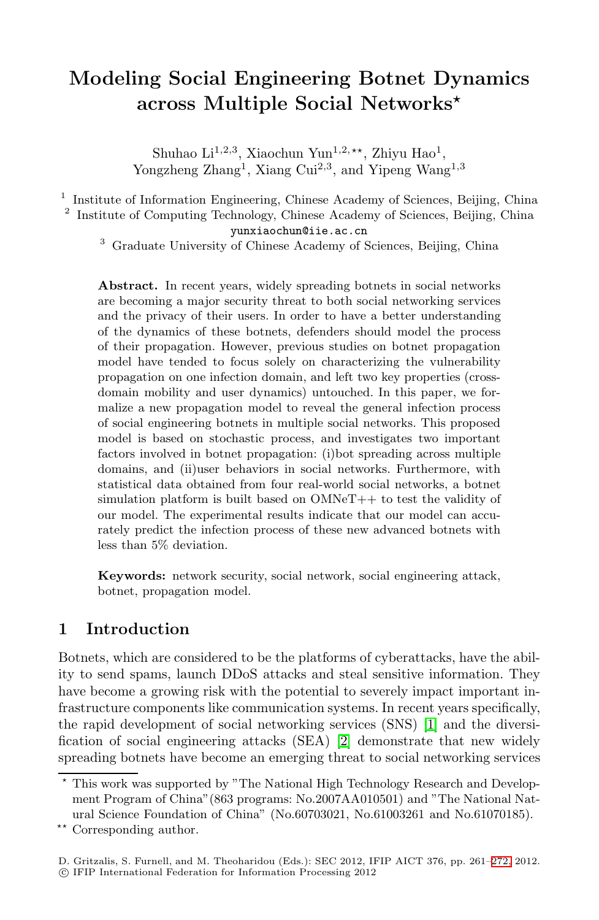# **Modeling Social Engineering Botnet Dynamics across Multiple Social Networks***-*

Shuhao Li<sup>1,2,3</sup>, Xiaochun Yun<sup>1,2,\*\*</sup>, Zhiyu Hao<sup>1</sup>, Yongzheng Zhang<sup>1</sup>, Xiang Cui<sup>2,3</sup>, and Yipeng Wang<sup>1,3</sup>

<sup>1</sup> Institute of Information Engineering, Chinese Academy of Sciences, Beijing, China <sup>2</sup> Institute of Computing Technology, Chinese Academy of Sciences, Beijing, China

yunxiaochun@iie.ac.cn

<sup>3</sup> Graduate University of Chinese Academy of Sciences, Beijing, China

**Abstract.** In recent years, widely spreading botnets in social networks are becoming a major security threat to both social networking services and the privacy of their users. In order to have a better understanding of the dynamics of these botnets, defenders should model the process of their propagation. However, previous studies on botnet propagation model have tended to focus solely on characterizing the vulnerability propagation on one infection domain, and left two key properties (crossdomain mobility and user dynamics) untouched. In this paper, we formalize a new propagation model to reveal the general infection process of social engineering botnets in multiple social networks. This proposed model is based on stochastic process, and investigates two important factors involved in botnet propagation: (i)bot spreading across multiple domains, and (ii)user behaviors in social networks. Furthermore, with statistical data obtained from four real-world social networks, a botnet simulation platform is built based on OMNeT++ to test the validity of our model. The experimental results indicate that our model can accurately predict the infection process of these new advanced botnets with less than 5% deviation.

**Keywords:** network security, social network, social engineering attack, botnet, propagation model.

# **1 Introduction**

Botnets, which are considered to be the platforms of cyberattacks, have the ability to send spams, launch DDoS attacks and steal sensitive information. They have become a growing risk with the potential to severely impact important infrastructure components like communication systems. In recent years specifically, the rapid development of social networking services (SNS) [1] and the diversification of social engineering attacks (SEA) [2] de[mon](#page-11-0)strate that new widely spreading botnets have become an emerging threat to social networking services

 $\star$  This work was supported by "The National High Technology Research and Development Program of China"(863 programs: No.2007AA010501) and "The National Natural Science Foundation of China" (No.60703021, No.61003261 and No.61070185).

<sup>\*\*</sup> Corresponding author.

D. Gritzalis, S. Furnell, and M. Theoharidou (Eds.): SEC 2012, IFIP AICT 376, pp. 261–272, 2012. -c IFIP International Federation for Information Processing 2012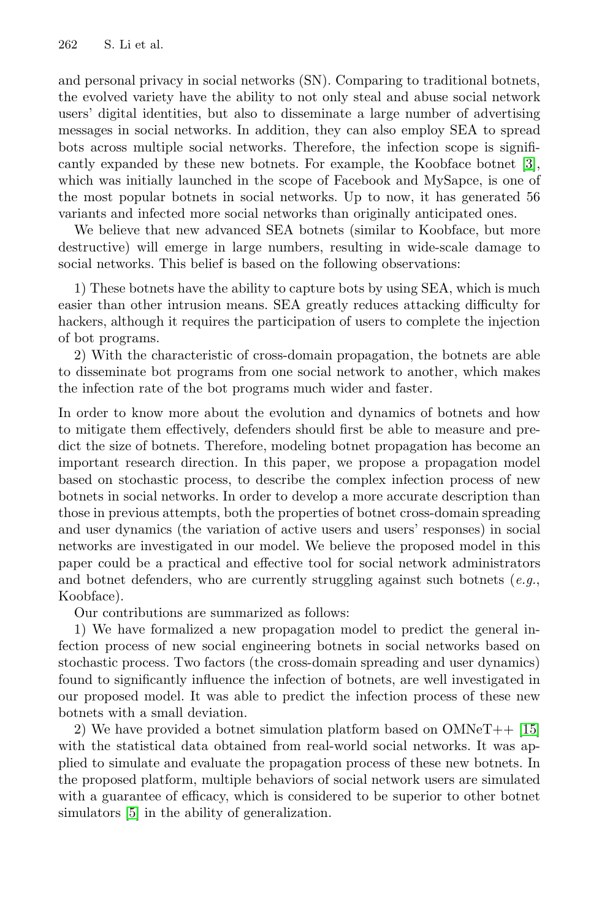and personal privacy in social networks (SN). Comparing to traditional botnets, the evolved variety have the ability to not only steal and abuse social network users' digital identities, but also to disseminate a large number of advertising messages in social networks. In addition, they can also employ SEA to spread bots across multiple social networks. Therefore, the infection scope is significantly expanded by these new botnets. For example, the Koobface botnet [3], which was initially launched in the scope of Facebook and MySapce, is one of the most popular botnets in social networks. Up to now, it has generated 56 variants and infected more social networks than originally anticipated ones.

We believe that new advanced SEA botnets (similar to Koobface, but more destructive) will emerge in large numbers, resulting in wide-scale damage to social networks. This belief is based on the following observations:

1) These botnets have the ability to capture bots by using SEA, which is much easier than other intrusion means. SEA greatly reduces attacking difficulty for hackers, although it requires the participation of users to complete the injection of bot programs.

2) With the characteristic of cross-domain propagation, the botnets are able to disseminate bot programs from one social network to another, which makes the infection rate of the bot programs much wider and faster.

In order to know more about the evolution and dynamics of botnets and how to mitigate them effectively, defenders should first be able to measure and predict the size of botnets. Therefore, modeling botnet propagation has become an important research direction. In this paper, we propose a propagation model based on stochastic process, to describe the complex infection process of new botnets in social networks. In order to develop a more accurate description than those in previous attempts, both the properties of botnet cross-domain spreading and user dynamics (the variation of active users and users' responses) in social networks are investigated in our model. We believe the proposed model in this paper could be a practical and effective tool for social network administrators and botnet defenders, who are currently struggling against such botnets (*e.g.*, Koobface).

Our contributions are summarized as follows:

1) We have formalized a new propagation model to predict the general infection process of new social engineering botnets in social networks based on stochastic process. Two factors (the cross-domain spreading and user dynamics) found to significantly influence the infection of botnets, are well investigated in our proposed model. It was able to predict the infection process of these new botnets with a small deviation.

2) We have provided a botnet simulation platform based on  $OMNeT++$  [15] with the statistical data obtained from real-world social networks. It was applied to simulate and evaluate the propagation process of these new botnets. In the proposed platform, multiple behaviors of social network users are simulated with a guarantee of efficacy, which is considered to be superior to other botnet simulators [5] in the ability of generalization.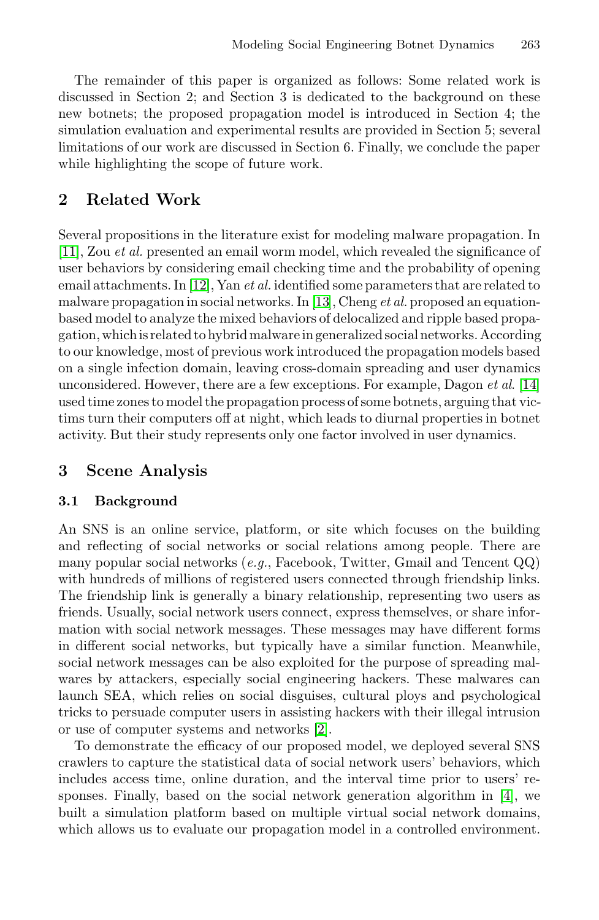The remainder of this paper is organized as follows: Some related work is discussed in Section 2; and Section 3 is dedicated to the background on these new botnets; the proposed propagation model is introduced in Section 4; the simulation evaluation and experimental results are provided in Section 5; several limitations of our work are discussed in Section 6. Finally, we conclude the paper w[hile](#page-11-1) highlighting the [scop](#page-11-2)e of future work.

# **2 Related Work**

Several propositions in the literature exist for modeling malware propagation. In [11], Zou *et al.* presented an email worm model, which reve[ale](#page-11-3)d the significance of user behaviors by considering email checking time and the probability of opening email attachments. In [12], Yan *et al.* identified some parameters that are related to malware propagation in social networks. In [13], Cheng *et al.* proposed an equationbased model to analyze the mixed behaviors of delocalized and ripple based propagation, whichis related to hybridmalwarein generalized social networks. According to our knowledge, most of previous work introduced the propagation models based on a single infection domain, leaving cross-domain spreading and user dynamics unconsidered. However, there are a few exceptions. For example, Dagon *et al*. [14] used time zones to model the propagation process of some botnets, arguing that victims turn their computers off at night, which leads to diurnal properties in botnet activity. But their study represents only one factor involved in user dynamics.

### **3 Scene Analysis**

#### **3.1 Background**

An SNS is an online service, platform, or site which focuses on the building and reflecting of social networks or social relations among people. There are many popular social networks (*e.g.*, Facebook, Twitter, Gmail and Tencent QQ) with hundreds of millions of registered users connected through friendship links. The friendship link is g[en](#page-11-4)erally a binary relationship, representing two users as friends. Usually, social network users connect, express themselves, or share information with social network messages. These messages may have different forms in different social networks, but typically have a similar function. Meanwhile, social network messages can be also exploited for the [pu](#page-11-5)rpose of spreading malwares by attackers, especially social engineering hackers. These malwares can launch SEA, which relies on social disguises, cultural ploys and psychological tricks to persuade computer users in assisting hackers with their illegal intrusion or use of computer systems and networks [2].

To demonstrate the efficacy of our proposed model, we deployed several SNS crawlers to capture the statistical data of social network users' behaviors, which includes access time, online duration, and the interval time prior to users' responses. Finally, based on the social network generation algorithm in [4], we built a simulation platform based on multiple virtual social network domains, which allows us to evaluate our propagation model in a controlled environment.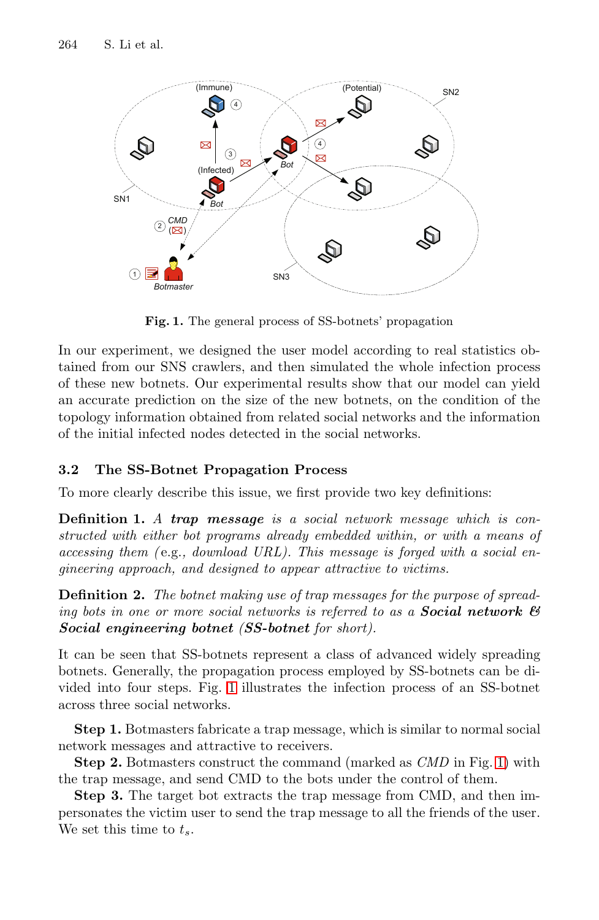<span id="page-3-0"></span>

**Fig. 1.** The general process of SS-botnets' propagation

In our experiment, we designed the user model according to real statistics obtained from our SNS crawlers, and then simulated the whole infection process of these new botnets. Our experimental results show that our model can yield an accurate prediction on the size of the new botnets, on the condition of the topology information obtained from related social networks and the information of the initial infected nodes detected in the social networks.

### **3.2 The SS-Botnet Propagation Process**

To more clearly describe this issue, we first provide two key definitions:

**Definition 1.** *<sup>A</sup> trap message is a social network message which is constructed with either bot programs already embedded within, or with a means of accessin[g t](#page-3-0)hem (* e.g.*, download URL). This message is forged with a social engineering approach, and designed to appear attractive to victims.*

**Definition 2.** *The botnet making use of trap messages for the purpose of spreading bots in one or more social networks is referred to as a Social network & Social engineering botnet (SS-botnet for short).*

It can be seen that SS-botnets represent a class of advanced widely spreading botnets. Generally, the propagation process employed by SS-botnets can be divided into four steps. Fig. 1 illustrates the infection process of an SS-botnet across three social networks.

**Step 1.** Botmasters fabricate a trap message, which is similar to normal social network messages and attractive to receivers.

**Step 2.** Botmasters construct the command (marked as *CMD* in Fig. 1) with the trap message, and send CMD to the bots under the control of them.

**Step 3.** The target bot extracts the trap message from CMD, and then impersonates the victim user to send the trap message to all the friends of the user. We set this time to  $t_s$ .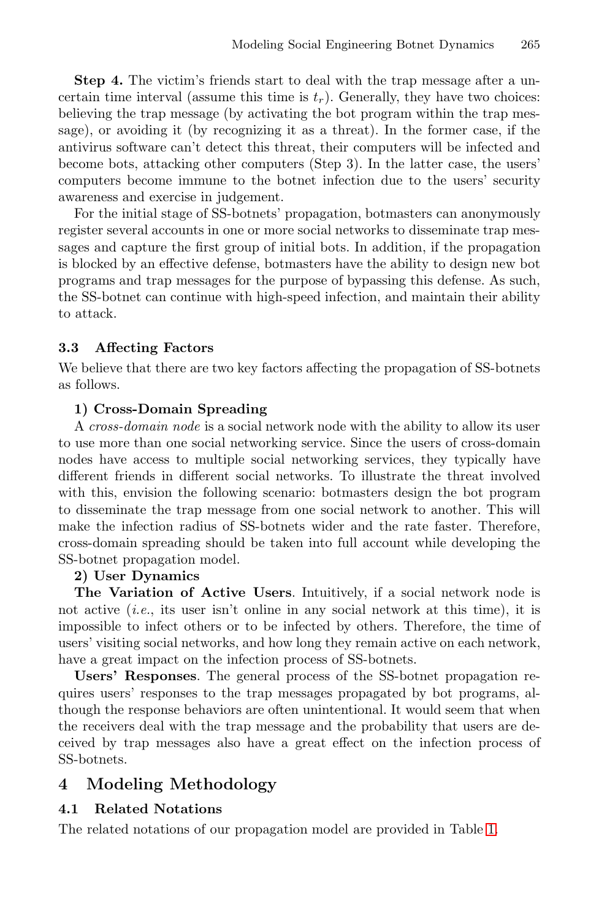**Step 4.** The victim's friends start to deal with the trap message after a uncertain time interval (assume this time is  $t_r$ ). Generally, they have two choices: believing the trap message (by activating the bot program within the trap message), or avoiding it (by recognizing it as a threat). In the former case, if the antivirus software can't detect this threat, their computers will be infected and become bots, attacking other computers (Step 3). In the latter case, the users' computers become immune to the botnet infection due to the users' security awareness and exercise in judgement.

For the initial stage of SS-botnets' propagation, botmasters can anonymously register several accounts in one or more social networks to disseminate trap messages and capture the first group of initial bots. In addition, if the propagation is blocked by an effective defense, botmasters have the ability to design new bot programs and trap messages for the purpose of bypassing this defense. As such, the SS-botnet can continue with high-speed infection, and maintain their ability to attack.

#### **3.3 Affecting Factors**

We believe that there are two key factors affecting the propagation of SS-botnets as follows.

#### **1) Cross-Domain Spreading**

A *cross-domain node* is a social network node with the ability to allow its user to use more than one social networking service. Since the users of cross-domain nodes have access to multiple social networking services, they typically have different friends in different social networks. To illustrate the threat involved with this, envision the following scenario: botmasters design the bot program to disseminate the trap message from one social network to another. This will make the infection radius of SS-botnets wider and the rate faster. Therefore, cross-domain spreading should be taken into full account while developing the SS-botnet propagation model.

#### **2) User Dynamics**

**The Variation of Active Users**. Intuitively, if a social network node is not active *(i.e.,* its user isn't online in any social network at this time), it is impossible to infect others or to be infected by others. Therefore, the time of users' visiting social networks, and how long they remain active on each network, have a great impact on the infection process of SS-botnets.

**Users' Responses**. The general process of the SS-botnet propagation requires users' responses to the trap messages prop[aga](#page-5-0)ted by bot programs, although the response behaviors are often unintentional. It would seem that when the receivers deal with the trap message and the probability that users are deceived by trap messages also have a great effect on the infection process of SS-botnets.

# **4 Modeling Methodology**

### **4.1 Related Notations**

The related notations of our propagation model are provided in Table 1.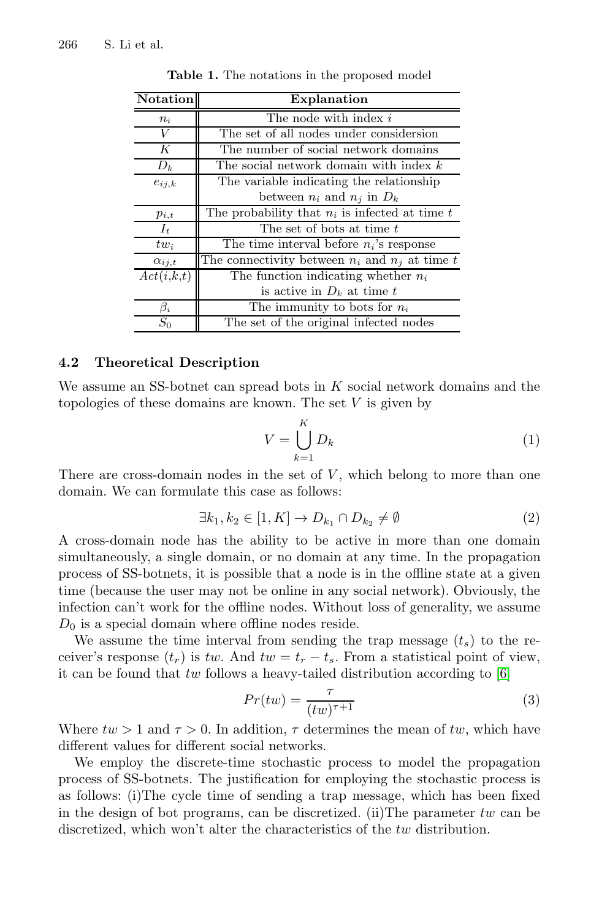| <b>Notation</b>  | Explanation                                        |
|------------------|----------------------------------------------------|
| $n_i$            | The node with index $i$                            |
| V                | The set of all nodes under considersion            |
| K                | The number of social network domains               |
| $D_k$            | The social network domain with index $k$           |
| $e_{i,j,k}$      | The variable indicating the relationship           |
|                  | between $n_i$ and $n_j$ in $D_k$                   |
| $p_{i,t}$        | The probability that $n_i$ is infected at time t   |
| $I_t$            | The set of bots at time t                          |
| $tw_i$           | The time interval before $n_i$ 's response         |
| $\alpha_{i,j,t}$ | The connectivity between $n_i$ and $n_j$ at time t |
| Act(i,k,t)       | The function indicating whether $n_i$              |
|                  | is active in $D_k$ at time t                       |
| $\beta_i$        | The immunity to bots for $n_i$                     |
| $S_0$            | The set of the original infected nodes             |

<span id="page-5-0"></span>**Table 1.** The notations in the proposed model

### **4.2 Theoretical Description**

We assume an SS-botnet can spread bots in  $K$  social network domains and the topologies of these domains are known. The set  $V$  is given by

$$
V = \bigcup_{k=1}^{K} D_k \tag{1}
$$

There are cross-domain nodes in the set of  $V$ , which belong to more than one domain. We can formulate this case as follows:

$$
\exists k_1, k_2 \in [1, K] \to D_{k_1} \cap D_{k_2} \neq \emptyset \tag{2}
$$

A cross-domain node has the ability to be active i[n](#page-11-6) more than one domain simultaneously, a single domain, or no domain at any time. In the propagation process of SS-botnets, it is possible that a node is in the offline state at a given time (because the user may not be online in any social network). Obviously, the infection can't work for the offline nodes. Without loss of generality, we assume  $D_0$  is a special domain where offline nodes reside.

We assume the time interval from sending the trap message  $(t_s)$  to the receiver's response  $(t_r)$  is tw. And  $tw = t_r - t_s$ . From a statistical point of view, it can be found that  $tw$  follows a heavy-tailed distribution according to  $[6]$ 

$$
Pr(tw) = \frac{\tau}{(tw)^{\tau+1}}\tag{3}
$$

Where  $tw > 1$  and  $\tau > 0$ . In addition,  $\tau$  determines the mean of tw, which have different values for different social networks.

We employ the discrete-time stochastic process to model the propagation process of SS-botnets. The justification for employing the stochastic process is as follows: (i)The cycle time of sending a trap message, which has been fixed in the design of bot programs, can be discretized. (ii) The parameter  $tw$  can be discretized, which won't alter the characteristics of the tw distribution.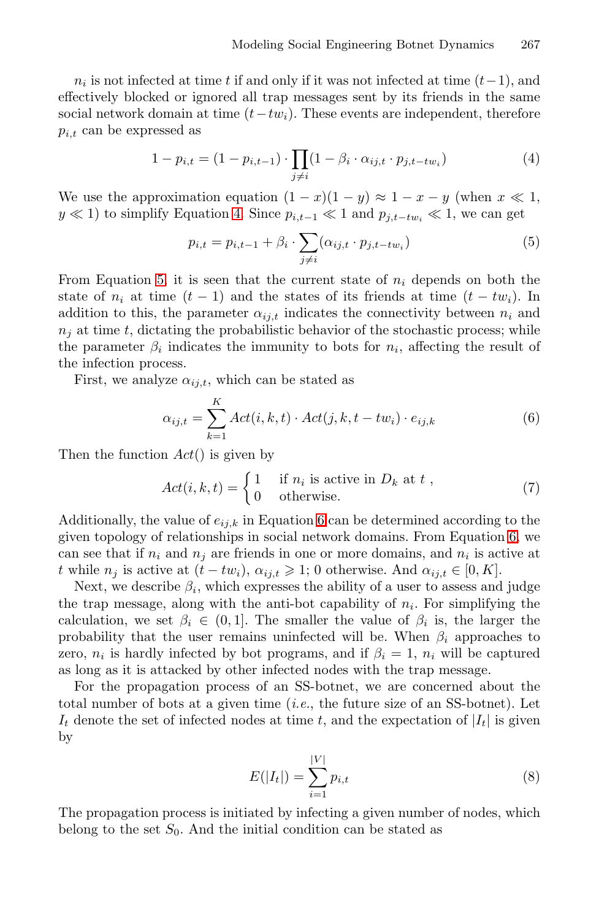<span id="page-6-1"></span><span id="page-6-0"></span> $n_i$  is n[ot i](#page-6-0)nfected at time t if and only if it was not infected at time  $(t-1)$ , and effectively blocked or ignored all trap messages sent by its friends in the same social network domain at time  $(t-tw_i)$ . These events are independent, therefore  $p_{i,t}$  can be expressed as

$$
1 - p_{i,t} = (1 - p_{i,t-1}) \cdot \prod_{j \neq i} (1 - \beta_i \cdot \alpha_{ij,t} \cdot p_{j,t-tw_i})
$$
\n(4)

We use the approximation equation  $(1 - x)(1 - y) \approx 1 - x - y$  (when  $x \ll 1$ , y  $\ll$  1) to simplify Equation 4. Since  $p_{i,t-1}$   $\ll$  1 and  $p_{j,t-tw_i}$   $\ll$  1, we can get

$$
p_{i,t} = p_{i,t-1} + \beta_i \cdot \sum_{j \neq i} (\alpha_{ij,t} \cdot p_{j,t-tw_i}) \tag{5}
$$

From Equation 5, it is seen that the current state of  $n_i$  depends on both the state of  $n_i$  at time  $(t-1)$  and the states of its friends at time  $(t - tw_i)$ . In addition to this, the parameter  $\alpha_{i,i,t}$  indicates the connectivity between  $n_i$  and  $n_i$  at time t, dictating the probabilistic behavior of the stochastic process; while the parameter  $\beta_i$  indicates the immunity to bots for  $n_i$ , affecting the result of the infection process.

First, we analyze  $\alpha_{ij,t}$  $\alpha_{ij,t}$  $\alpha_{ij,t}$ , which can be stated as

$$
\alpha_{ij,t} = \sum_{k=1}^{K} Act(i,k,t) \cdot Act(j,k,t-tw_i) \cdot e_{ij,k}
$$
\n(6)

Then the function  $Act()$  is given by

$$
Act(i,k,t) = \begin{cases} 1 & \text{if } n_i \text{ is active in } D_k \text{ at } t ,\\ 0 & \text{otherwise.} \end{cases}
$$
 (7)

Additionally, the value of  $e_{ij,k}$  in Equation 6 can be determined according to the given topology of relationships in social network domains. From Equation 6, we can see that if  $n_i$  and  $n_j$  are friends in one or more domains, and  $n_i$  is active at t while  $n_j$  is active at  $(t - tw_i), \, \alpha_{ij,t} \geq 1; 0$  otherwise. And  $\alpha_{ij,t} \in [0, K]$ .

Next, we describe  $\beta_i$ , which expresses the ability of a user to assess and judge the trap message, along with the anti-bot capability of  $n_i$ . For simplifying the calculation, we set  $\beta_i \in (0,1]$ . The smaller the value of  $\beta_i$  is, the larger the probability that the user remains uninfected will be. When  $\beta_i$  approaches to zero,  $n_i$  is hardly infected by bot programs, and if  $\beta_i = 1$ ,  $n_i$  will be captured as long as it is attacked by other infected nodes with the trap message.

For the propagation process of an SS-botnet, we are concerned about the total number of bots at a given time (*i.e.*, the future size of an SS-botnet). Let  $I_t$  denote the set of infected nodes at time t, and the expectation of  $|I_t|$  is given by

$$
E(|I_t|) = \sum_{i=1}^{|V|} p_{i,t} \tag{8}
$$

The propagation process is initiated by infecting a given number of nodes, which belong to the set  $S_0$ . And the initial condition can be stated as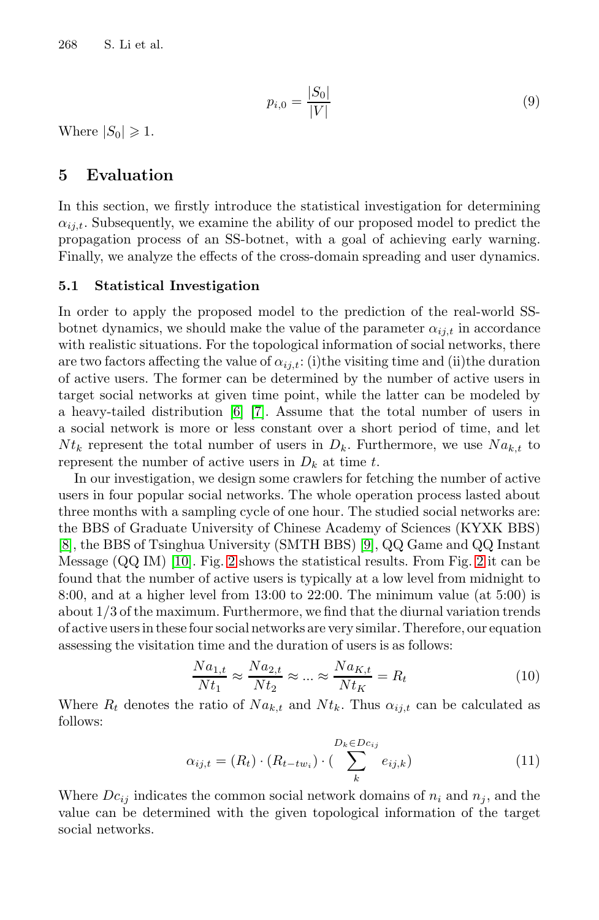$$
p_{i,0} = \frac{|S_0|}{|V|} \tag{9}
$$

Where  $|S_0| \geqslant 1$ .

## **5 Evaluation**

In this section, we firstly introduce the statistical investigation for determining  $\alpha_{i,i,t}$ . Subsequently, we examine the ability of our proposed model to predict the propagation process of an SS-botnet, with a goal of achieving early warning. Finally, we analyze the effects of the cross-domain spreading and user dynamics.

#### **5.1 St[ati](#page-11-6)s[tic](#page-11-7)al Investigation**

In order to apply the proposed model to the prediction of the real-world SSbotnet dynamics, we should make the value of the parameter  $\alpha_{i,j,t}$  in accordance with realistic situations. For the topological information of social networks, there are two factors affecting the value of  $\alpha_{i,j,t}$ : (i)the visiting time and (ii)the duration of active users. The former can be determined by the number of active users in target social networks at given time point, while the latter can be modeled by a heavy-tailed distribution [6] [\[7](#page-11-8)]. Assume that the total number of users in [a s](#page-11-9)ocial [ne](#page-8-0)twork is more or less constant over a [sh](#page-8-0)ort period of time, and let  $N t_k$  represent the total number of users in  $D_k$ . Furthermore, we use  $N a_{k,t}$  to represent the number of active users in  $D_k$  at time t.

In our investigation, we design some crawlers for fetching the number of active users in four popular social networks. The whole operation process lasted about three months with a sampling cycle of one hour. The studied social networks are: the BBS of Graduate University of Chinese Academy of Sciences (KYXK BBS) [8], the BBS of Tsinghua University (SMTH BBS) [9], QQ Game and QQ Instant Message (QQ IM) [10]. Fig. 2 shows the statistical results. From Fig. 2 it can be found that the number of active users is typically at a low level from midnight to 8:00, and at a higher level from 13:00 to 22:00. The minimum value (at 5:00) is about 1/3 of the maximum. Furthermore, we find that the diurnal variation trends of active users in these four social networks are very similar. Therefore, our equation assessing the visitation time and the duration of users is as follows:

$$
\frac{Na_{1,t}}{Nt_1} \approx \frac{Na_{2,t}}{Nt_2} \approx \dots \approx \frac{Na_{K,t}}{Nt_K} = R_t
$$
\n(10)

Where  $R_t$  denotes the ratio of  $Na_{k,t}$  and  $N t_k$ . Thus  $\alpha_{i,j,t}$  can be calculated as follows:

$$
\alpha_{ij,t} = (R_t) \cdot (R_{t-tw_i}) \cdot (\sum_{k}^{D_k \in D_{cij}} e_{ij,k}) \tag{11}
$$

Where  $Dc_{ij}$  indicates the common social network domains of  $n_i$  and  $n_j$ , and the value can be determined with the given topological information of the target social networks.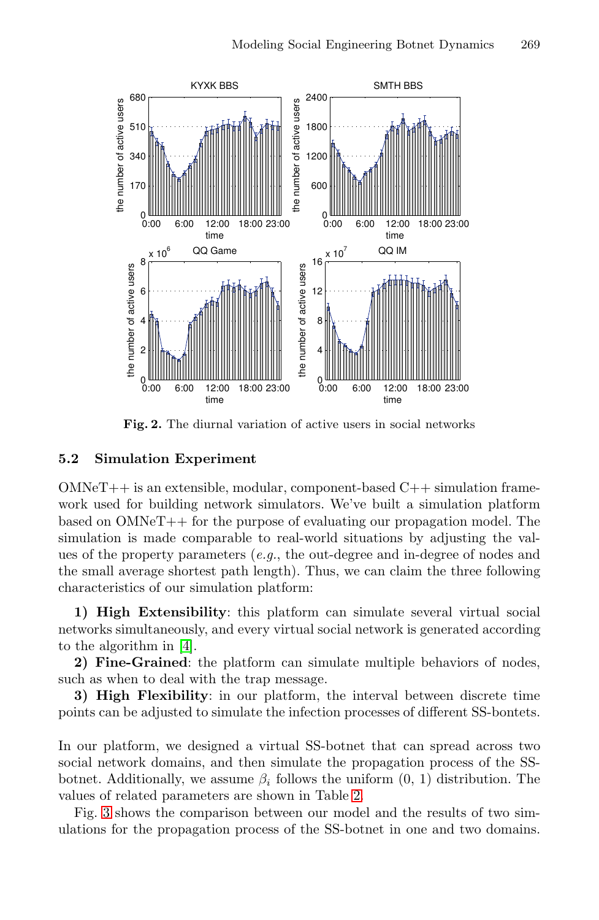<span id="page-8-0"></span>

**Fig. 2.** The diurnal variation of active users in social networks

### **5.2 Simulation Experiment**

OMNeT++ is an extensible, modular, component-based C++ simulation framework used for building network simulators. We've built a simulation platform b[as](#page-11-5)ed on OMNeT++ for the purpose of evaluating our propagation model. The simulation is made comparable to real-world situations by adjusting the values of the property parameters (*e.g.*, the out-degree and in-degree of nodes and the small average shortest path length). Thus, we can claim the three following characteristics of our simulation platform:

**1) High Extensibility**: this platform can simulate several virtual social networks simultaneously, and every virtual social network is generated according to the algorithm in [4].

**2) Fine-Grained**: the pl[atf](#page-9-0)orm can simulate multiple behaviors of nodes, such as when to deal with the trap message.

**3) High Flexibility**: in our platform, the interval between discrete time points can be adjusted to simulate the infection processes of different SS-bontets.

In our platform, we designed a virtual SS-botnet that can spread across two social network domains, and then simulate the propagation process of the SSbotnet. Additionally, we assume  $\beta_i$  follows the uniform  $(0, 1)$  distribution. The values of related parameters are shown in Table 2.

Fig. 3 shows the comparison between our model and the results of two simulations for the propagation process of the SS-botnet in one and two domains.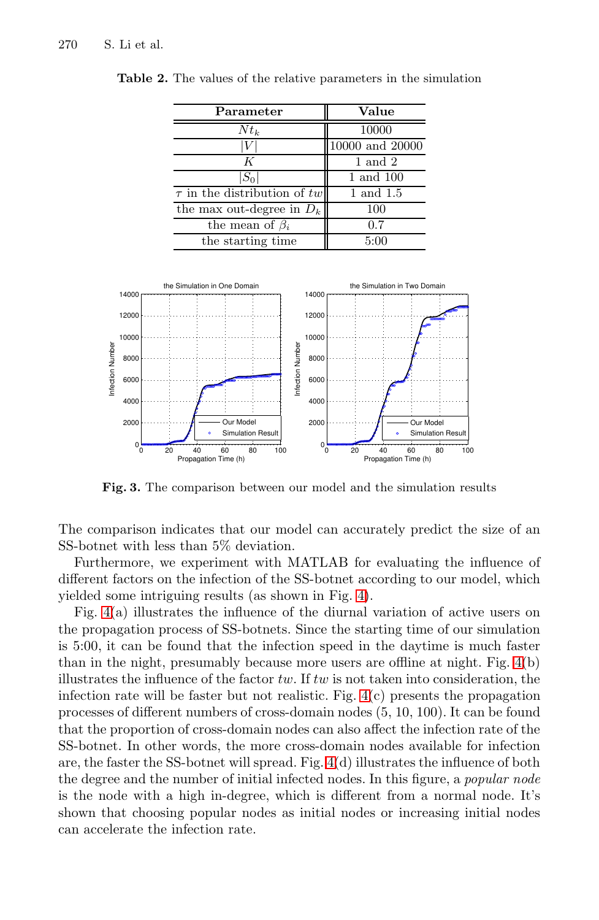| Parameter                        | Value           |
|----------------------------------|-----------------|
| $Nt_k$                           | 10000           |
|                                  | 10000 and 20000 |
|                                  | 1 and 2         |
| $S_0$                            | 1 and 100       |
| $\tau$ in the distribution of tw | 1 and 1.5       |
| the max out-degree in $D_k$      | 100             |
| the mean of $\beta_i$            | 0.7             |
| the starting time                | 5:00            |

<span id="page-9-0"></span>**Table 2.** The values of the relative parameters in the simulation



**Fig. 3.** The comparison between our model and the simulation results

The comparison indicates that our model can accurate[ly](#page-10-0) predict the size of an SS-botnet with less than 5% deviation.

Furthermore, we experimen[t](#page-10-0) with MATLAB for evaluating the influence of different factors on the infection of the SS-botnet according to our model, which yielded some intriguing results (as shown in Fig. 4).

Fig. 4(a) illustrates the influence of the diurnal variation of active users on the propagation process [of](#page-10-0) SS-botnets. Since the starting time of our simulation is 5:00, it can be found that the infection speed in the daytime is much faster than in the night, presumably because more users are offline at night. Fig. 4(b) illustrates the influence of the factor  $tw$ . If  $tw$  is not taken into consideration, the infection rate will be faster but not realistic. Fig. 4(c) presents the propagation processes of different numbers of cross-domain nodes (5, 10, 100). It can be found that the proportion of cross-domain nodes can also affect the infection rate of the SS-botnet. In other words, the more cross-domain nodes available for infection are, the faster the SS-botnet will spread. Fig. 4(d) illustrates the influence of both the degree and the number of initial infected nodes. In this figure, a *popular node* is the node with a high in-degree, which is different from a normal node. It's shown that choosing popular nodes as initial nodes or increasing initial nodes can accelerate the infection rate.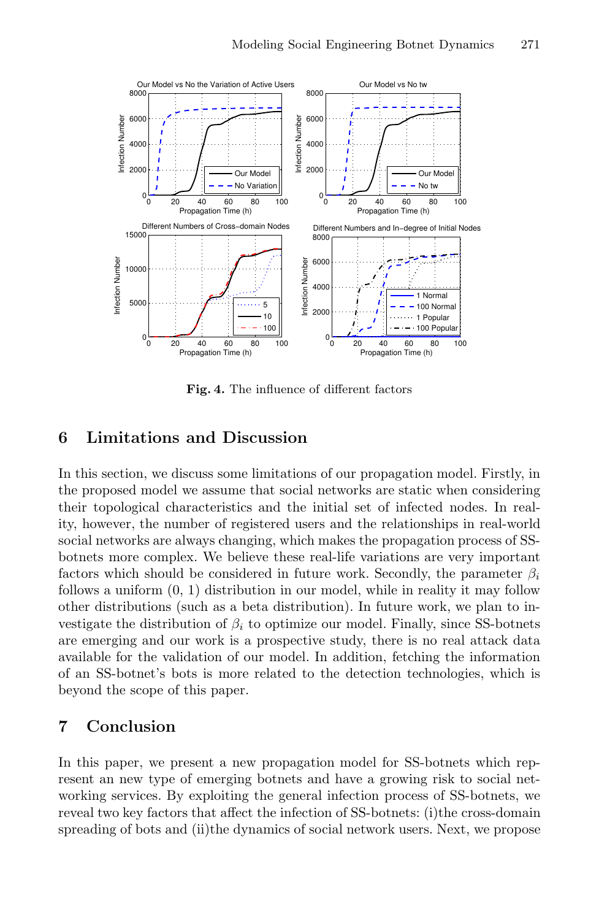

<span id="page-10-0"></span>**Fig. 4.** The influence of different factors

# **6 Limitations and Discussion**

In this section, we discuss some limitations of our propagation model. Firstly, in the proposed model we assume that social networks are static when considering their topological characteristics and the initial set of infected nodes. In reality, however, the number of registered users and the relationships in real-world social networks are always changing, which makes the propagation process of SSbotnets more complex. We believe these real-life variations are very important factors which should be considered in future work. Secondly, the parameter  $\beta_i$ follows a uniform (0, 1) distribution in our model, while in reality it may follow other distributions (such as a beta distribution). In future work, we plan to investigate the distribution of  $\beta_i$  to optimize our model. Finally, since SS-botnets are emerging and our work is a prospective study, there is no real attack data available for the validation of our model. In addition, fetching the information of an SS-botnet's bots is more related to the detection technologies, which is beyond the scope of this paper.

# **7 Conclusion**

In this paper, we present a new propagation model for SS-botnets which represent an new type of emerging botnets and have a growing risk to social networking services. By exploiting the general infection process of SS-botnets, we reveal two key factors that affect the infection of SS-botnets: (i)the cross-domain spreading of bots and (ii)the dynamics of social network users. Next, we propose